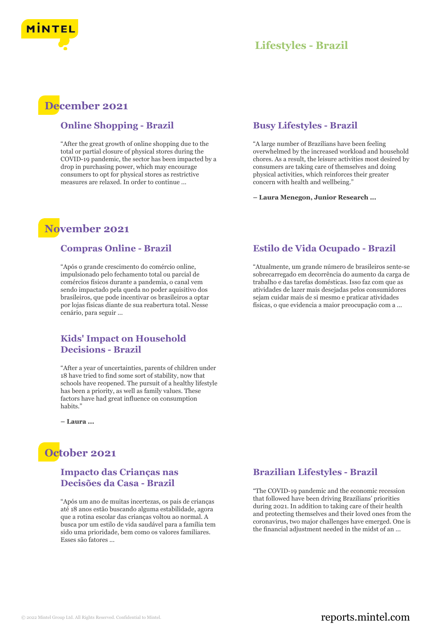

## **Lifestyles - Brazil**

## **December 2021**

#### **Online Shopping - Brazil**

"After the great growth of online shopping due to the total or partial closure of physical stores during the COVID-19 pandemic, the sector has been impacted by a drop in purchasing power, which may encourage consumers to opt for physical stores as restrictive measures are relaxed. In order to continue ...

#### **Busy Lifestyles - Brazil**

"A large number of Brazilians have been feeling overwhelmed by the increased workload and household chores. As a result, the leisure activities most desired by consumers are taking care of themselves and doing physical activities, which reinforces their greater concern with health and wellbeing."

**– Laura Menegon, Junior Research ...**

# **November 2021**

#### **Compras Online - Brazil**

"Após o grande crescimento do comércio online, impulsionado pelo fechamento total ou parcial de comércios físicos durante a pandemia, o canal vem sendo impactado pela queda no poder aquisitivo dos brasileiros, que pode incentivar os brasileiros a optar por lojas físicas diante de sua reabertura total. Nesse cenário, para seguir ...

#### **Kids' Impact on Household Decisions - Brazil**

"After a year of uncertainties, parents of children under 18 have tried to find some sort of stability, now that schools have reopened. The pursuit of a healthy lifestyle has been a priority, as well as family values. These factors have had great influence on consumption habits'

**– Laura ...**

# **October 2021**

#### **Impacto das Crianças nas Decisões da Casa - Brazil**

"Após um ano de muitas incertezas, os pais de crianças até 18 anos estão buscando alguma estabilidade, agora que a rotina escolar das crianças voltou ao normal. A busca por um estilo de vida saudável para a família tem sido uma prioridade, bem como os valores familiares. Esses são fatores ...

### **Estilo de Vida Ocupado - Brazil**

"Atualmente, um grande número de brasileiros sente-se sobrecarregado em decorrência do aumento da carga de trabalho e das tarefas domésticas. Isso faz com que as atividades de lazer mais desejadas pelos consumidores sejam cuidar mais de si mesmo e praticar atividades físicas, o que evidencia a maior preocupação com a ...

#### **Brazilian Lifestyles - Brazil**

"The COVID-19 pandemic and the economic recession that followed have been driving Brazilians' priorities during 2021. In addition to taking care of their health and protecting themselves and their loved ones from the coronavirus, two major challenges have emerged. One is the financial adjustment needed in the midst of an ...

## © 2022 Mintel Group Ltd. All Rights Reserved. Confidential to Mintel.  $\blacksquare$  reports.mintel.com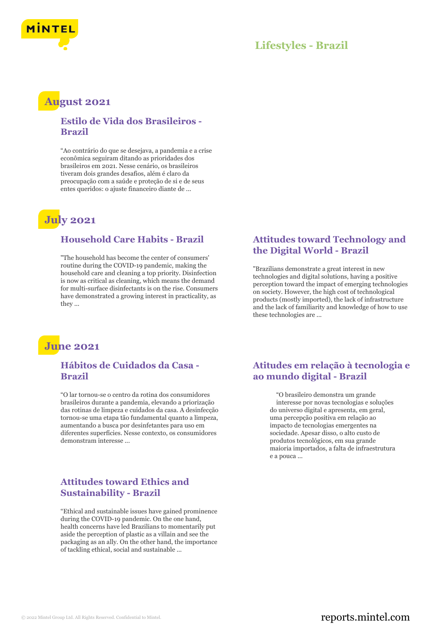

## **Lifestyles - Brazil**

## **August 2021**

#### **Estilo de Vida dos Brasileiros - Brazil**

"Ao contrário do que se desejava, a pandemia e a crise econômica seguiram ditando as prioridades dos brasileiros em 2021. Nesse cenário, os brasileiros tiveram dois grandes desafios, além é claro da preocupação com a saúde e proteção de si e de seus entes queridos: o ajuste financeiro diante de ...

# **July 2021**

#### **Household Care Habits - Brazil**

"The household has become the center of consumers' routine during the COVID-19 pandemic, making the household care and cleaning a top priority. Disinfection is now as critical as cleaning, which means the demand for multi-surface disinfectants is on the rise. Consumers have demonstrated a growing interest in practicality, as they ...



#### **Hábitos de Cuidados da Casa - Brazil**

"O lar tornou-se o centro da rotina dos consumidores brasileiros durante a pandemia, elevando a priorização das rotinas de limpeza e cuidados da casa. A desinfecção tornou-se uma etapa tão fundamental quanto a limpeza, aumentando a busca por desinfetantes para uso em diferentes superfícies. Nesse contexto, os consumidores demonstram interesse ...

### **Attitudes toward Ethics and Sustainability - Brazil**

"Ethical and sustainable issues have gained prominence during the COVID-19 pandemic. On the one hand, health concerns have led Brazilians to momentarily put aside the perception of plastic as a villain and see the packaging as an ally. On the other hand, the importance of tackling ethical, social and sustainable ...

#### **Attitudes toward Technology and the Digital World - Brazil**

"Brazilians demonstrate a great interest in new technologies and digital solutions, having a positive perception toward the impact of emerging technologies on society. However, the high cost of technological products (mostly imported), the lack of infrastructure and the lack of familiarity and knowledge of how to use these technologies are ...

### **Atitudes em relação à tecnologia e ao mundo digital - Brazil**

"O brasileiro demonstra um grande interesse por novas tecnologias e soluções do universo digital e apresenta, em geral, uma percepção positiva em relação ao impacto de tecnologias emergentes na sociedade. Apesar disso, o alto custo de produtos tecnológicos, em sua grande maioria importados, a falta de infraestrutura e a pouca ...